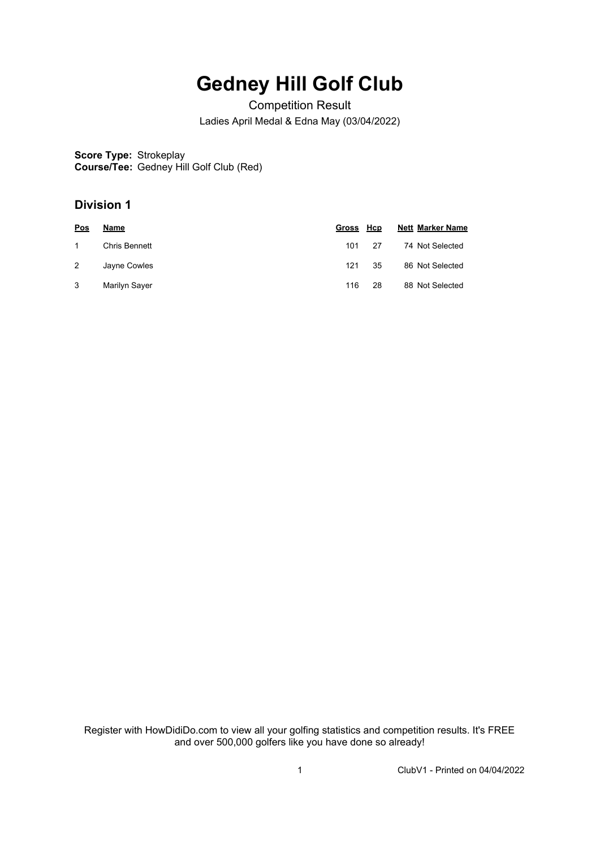## **Gedney Hill Golf Club**

Competition Result Ladies April Medal & Edna May (03/04/2022)

**Score Type:** Strokeplay **Course/Tee:** Gedney Hill Golf Club (Red)

## **Division 1**

| <b>Pos</b> | Name          | Gross Hcp |     | <b>Nett Marker Name</b> |
|------------|---------------|-----------|-----|-------------------------|
|            | Chris Bennett | 101       | -27 | 74 Not Selected         |
| 2          | Jayne Cowles  | 121       | 35  | 86 Not Selected         |
| 3          | Marilyn Sayer | 116       | 28  | 88 Not Selected         |

Register with HowDidiDo.com to view all your golfing statistics and competition results. It's FREE and over 500,000 golfers like you have done so already!